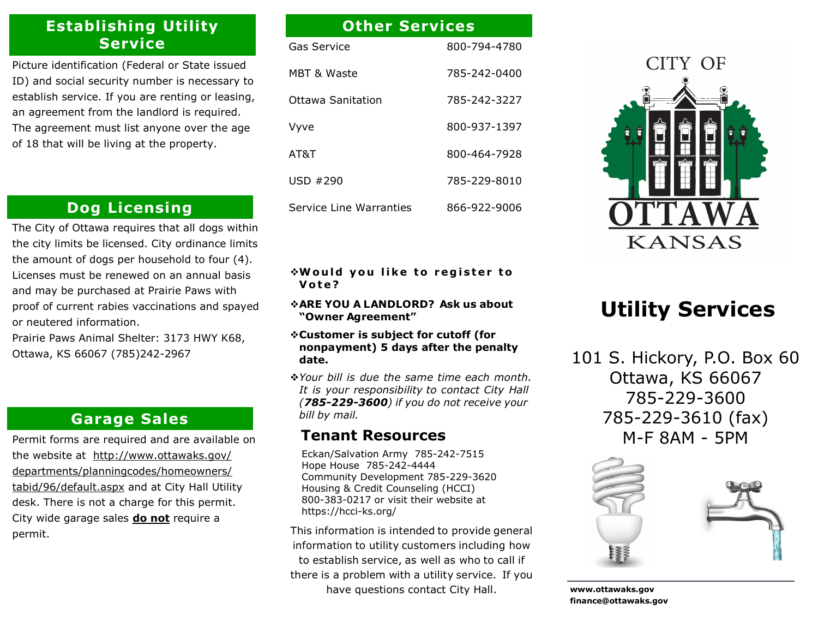# **Establishing Utility Service**

Picture identification (Federal or State issued ID) and social security number is necessary to establish service. If you are renting or leasing, an agreement from the landlord is required. The agreement must list anyone over the age of 18 that will be living at the property.

# **Dog Licensing**

The City of Ottawa requires that all dogs within the city limits be licensed. City ordinance limits the amount of dogs per household to four (4). Licenses must be renewed on an annual basis and may be purchased at Prairie Paws with proof of current rabies vaccinations and spayed or neutered information.

Prairie Paws Animal Shelter: 3173 HWY K68, Ottawa, KS 66067 (785)242-2967

### **Garage Sales**

Permit forms are required and are available on the website at http://www.ottawaks.gov/ departments/planningcodes/homeowners/ tabid/96/default.aspx and at City Hall Utility desk. There is not a charge for this permit. City wide garage sales **do not** require a permit.

# Gas Service 800-794-4780 MBT & Waste 785-242-0400 Ottawa Sanitation 785-242-3227 Vyve 800-937-1397 AT&T 800-464-7928 USD #290 785-229-8010 **Other Services**

Service Line Warranties 866-922-9006

#### **Would you like to register to V o t e ?**

- **ARE YOU A LANDLORD? Ask us about "Owner Agreement"**
- **Customer is subject for cutoff (for nonpayment) 5 days after the penalty date.**
- *Your bill is due the same time each month. It is your responsibility to contact City Hall (785-229-3600) if you do not receive your bill by mail.*

### **Tenant Resources**

Eckan/Salvation Army 785-242-7515 Hope House 785-242-4444 Community Development 785-229-3620 Housing & Credit Counseling (HCCI) 800-383-0217 or visit their website at https://hcci-ks.org/

This information is intended to provide general information to utility customers including how to establish service, as well as who to call if there is a problem with a utility service. If you have questions contact City Hall.



# **Utility Services**

101 S. Hickory, P.O. Box 60 Ottawa, KS 66067 785-229-3600 785-229-3610 (fax) M-F 8AM - 5PM



**www.ottawaks.gov finance@ottawaks.gov**